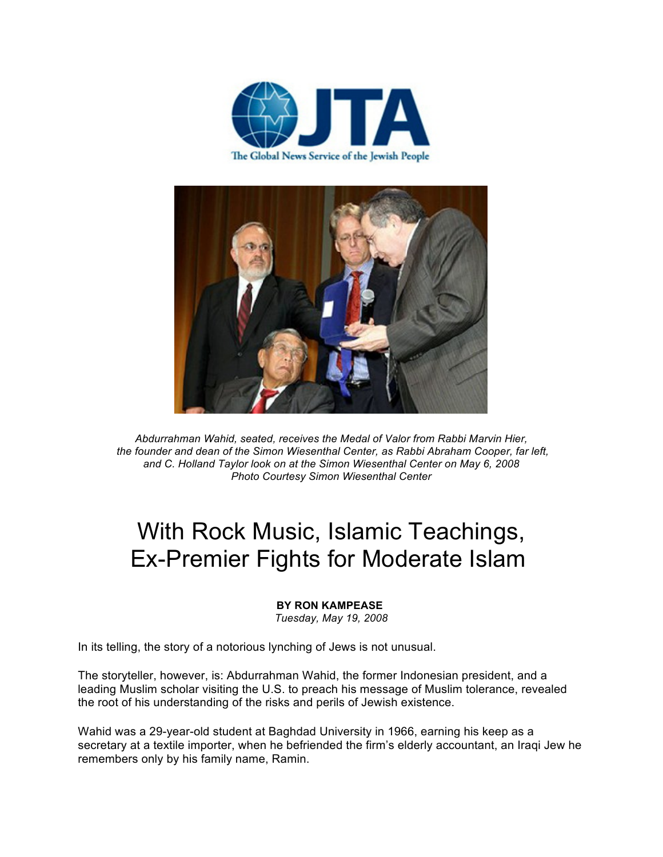



*Abdurrahman Wahid, seated, receives the Medal of Valor from Rabbi Marvin Hier, the founder and dean of the Simon Wiesenthal Center, as Rabbi Abraham Cooper, far left, and C. Holland Taylor look on at the Simon Wiesenthal Center on May 6, 2008 Photo Courtesy Simon Wiesenthal Center*

## With Rock Music, Islamic Teachings, Ex-Premier Fights for Moderate Islam

## **BY RON KAMPEASE**

*Tuesday, May 19, 2008*

In its telling, the story of a notorious lynching of Jews is not unusual.

The storyteller, however, is: Abdurrahman Wahid, the former Indonesian president, and a leading Muslim scholar visiting the U.S. to preach his message of Muslim tolerance, revealed the root of his understanding of the risks and perils of Jewish existence.

Wahid was a 29-year-old student at Baghdad University in 1966, earning his keep as a secretary at a textile importer, when he befriended the firm's elderly accountant, an Iraqi Jew he remembers only by his family name, Ramin.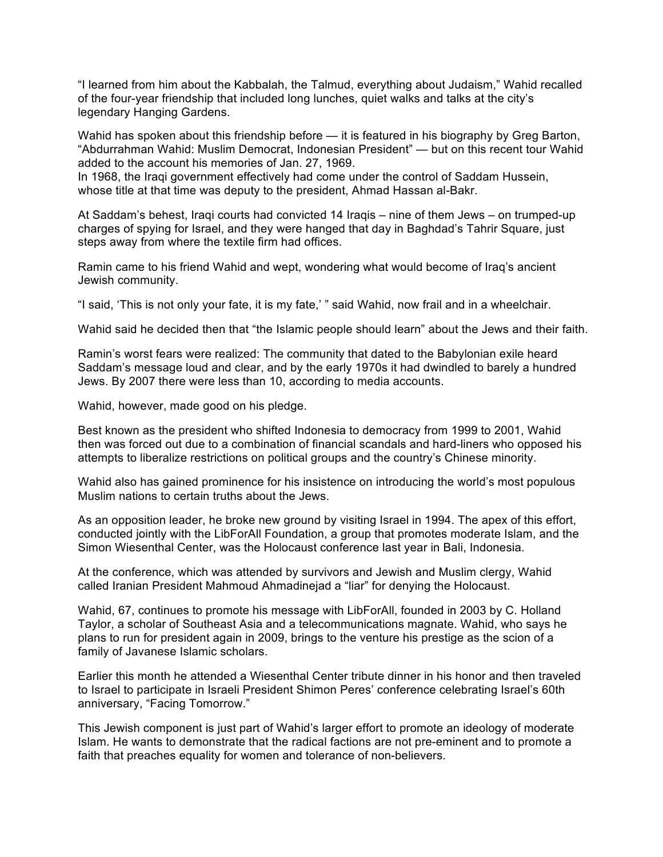"I learned from him about the Kabbalah, the Talmud, everything about Judaism," Wahid recalled of the four-year friendship that included long lunches, quiet walks and talks at the city's legendary Hanging Gardens.

Wahid has spoken about this friendship before — it is featured in his biography by Greg Barton, "Abdurrahman Wahid: Muslim Democrat, Indonesian President" — but on this recent tour Wahid added to the account his memories of Jan. 27, 1969.

In 1968, the Iraqi government effectively had come under the control of Saddam Hussein, whose title at that time was deputy to the president, Ahmad Hassan al-Bakr.

At Saddam's behest, Iraqi courts had convicted 14 Iraqis – nine of them Jews – on trumped-up charges of spying for Israel, and they were hanged that day in Baghdad's Tahrir Square, just steps away from where the textile firm had offices.

Ramin came to his friend Wahid and wept, wondering what would become of Iraq's ancient Jewish community.

"I said, 'This is not only your fate, it is my fate,' " said Wahid, now frail and in a wheelchair.

Wahid said he decided then that "the Islamic people should learn" about the Jews and their faith.

Ramin's worst fears were realized: The community that dated to the Babylonian exile heard Saddam's message loud and clear, and by the early 1970s it had dwindled to barely a hundred Jews. By 2007 there were less than 10, according to media accounts.

Wahid, however, made good on his pledge.

Best known as the president who shifted Indonesia to democracy from 1999 to 2001, Wahid then was forced out due to a combination of financial scandals and hard-liners who opposed his attempts to liberalize restrictions on political groups and the country's Chinese minority.

Wahid also has gained prominence for his insistence on introducing the world's most populous Muslim nations to certain truths about the Jews.

As an opposition leader, he broke new ground by visiting Israel in 1994. The apex of this effort, conducted jointly with the LibForAll Foundation, a group that promotes moderate Islam, and the Simon Wiesenthal Center, was the Holocaust conference last year in Bali, Indonesia.

At the conference, which was attended by survivors and Jewish and Muslim clergy, Wahid called Iranian President Mahmoud Ahmadinejad a "liar" for denying the Holocaust.

Wahid, 67, continues to promote his message with LibForAll, founded in 2003 by C. Holland Taylor, a scholar of Southeast Asia and a telecommunications magnate. Wahid, who says he plans to run for president again in 2009, brings to the venture his prestige as the scion of a family of Javanese Islamic scholars.

Earlier this month he attended a Wiesenthal Center tribute dinner in his honor and then traveled to Israel to participate in Israeli President Shimon Peres' conference celebrating Israel's 60th anniversary, "Facing Tomorrow."

This Jewish component is just part of Wahid's larger effort to promote an ideology of moderate Islam. He wants to demonstrate that the radical factions are not pre-eminent and to promote a faith that preaches equality for women and tolerance of non-believers.